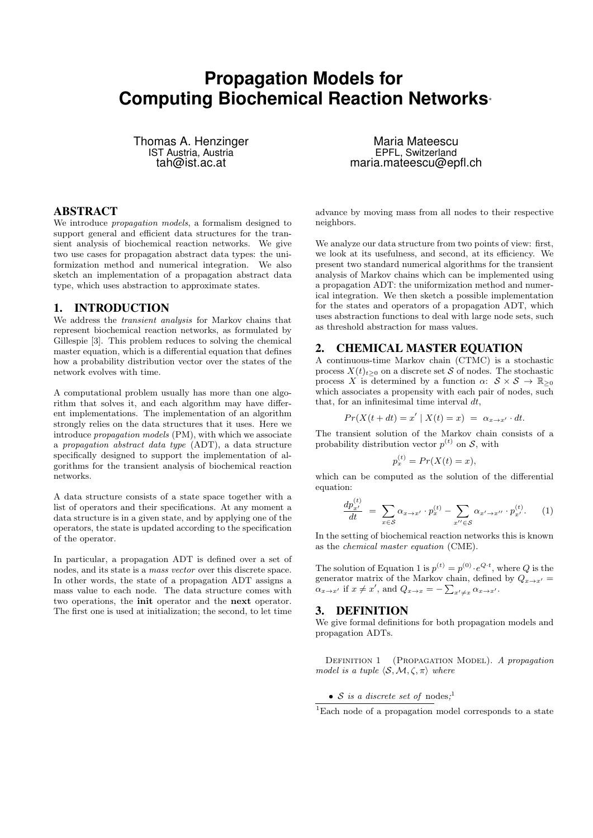# **Propagation Models for Computing Biochemical Reaction Networks**<sup>∗</sup>

Thomas A. Henzinger IST Austria, Austria tah@ist.ac.at

# ABSTRACT

We introduce propagation models, a formalism designed to support general and efficient data structures for the transient analysis of biochemical reaction networks. We give two use cases for propagation abstract data types: the uniformization method and numerical integration. We also sketch an implementation of a propagation abstract data type, which uses abstraction to approximate states.

# 1. INTRODUCTION

We address the transient analysis for Markov chains that represent biochemical reaction networks, as formulated by Gillespie [3]. This problem reduces to solving the chemical master equation, which is a differential equation that defines how a probability distribution vector over the states of the network evolves with time.

A computational problem usually has more than one algorithm that solves it, and each algorithm may have different implementations. The implementation of an algorithm strongly relies on the data structures that it uses. Here we introduce propagation models (PM), with which we associate a propagation abstract data type (ADT), a data structure specifically designed to support the implementation of algorithms for the transient analysis of biochemical reaction networks.

A data structure consists of a state space together with a list of operators and their specifications. At any moment a data structure is in a given state, and by applying one of the operators, the state is updated according to the specification of the operator.

In particular, a propagation ADT is defined over a set of nodes, and its state is a mass vector over this discrete space. In other words, the state of a propagation ADT assigns a mass value to each node. The data structure comes with two operations, the init operator and the next operator. The first one is used at initialization; the second, to let time

Maria Mateescu EPFL, Switzerland maria.mateescu@epfl.ch

advance by moving mass from all nodes to their respective neighbors.

We analyze our data structure from two points of view: first, we look at its usefulness, and second, at its efficiency. We present two standard numerical algorithms for the transient analysis of Markov chains which can be implemented using a propagation ADT: the uniformization method and numerical integration. We then sketch a possible implementation for the states and operators of a propagation ADT, which uses abstraction functions to deal with large node sets, such as threshold abstraction for mass values.

## 2. CHEMICAL MASTER EQUATION

A continuous-time Markov chain (CTMC) is a stochastic process  $X(t)_{t\geq0}$  on a discrete set S of nodes. The stochastic process X is determined by a function  $\alpha: S \times S \to \mathbb{R}_{\geq 0}$ which associates a propensity with each pair of nodes, such that, for an infinitesimal time interval  $dt$ ,

 $Pr(X(t+dt) = x' | X(t) = x) = \alpha_{x \to x'} \cdot dt.$ 

The transient solution of the Markov chain consists of a probability distribution vector  $p^{(t)}$  on S, with

$$
p_x^{(t)} = Pr(X(t) = x),
$$

which can be computed as the solution of the differential equation:

$$
\frac{dp_{x'}^{(t)}}{dt} = \sum_{x \in S} \alpha_{x \to x'} \cdot p_x^{(t)} - \sum_{x'' \in S} \alpha_{x' \to x''} \cdot p_{x'}^{(t)}.
$$
 (1)

In the setting of biochemical reaction networks this is known as the chemical master equation (CME).

The solution of Equation 1 is  $p^{(t)} = p^{(0)} \cdot e^{Q \cdot t}$ , where Q is the generator matrix of the Markov chain, defined by  $Q_{x\to x'}$  $\alpha_{x \to x'}$  if  $x \neq x'$ , and  $Q_{x \to x} = -\sum_{x' \neq x} \alpha_{x \to x'}$ .

#### 3. DEFINITION

We give formal definitions for both propagation models and propagation ADTs.

DEFINITION 1 (PROPAGATION MODEL). A propagation model is a tuple  $\langle S, M, \zeta, \pi \rangle$  where

• S is a discrete set of nodes;<sup>1</sup>

 ${}^{1}$ Each node of a propagation model corresponds to a state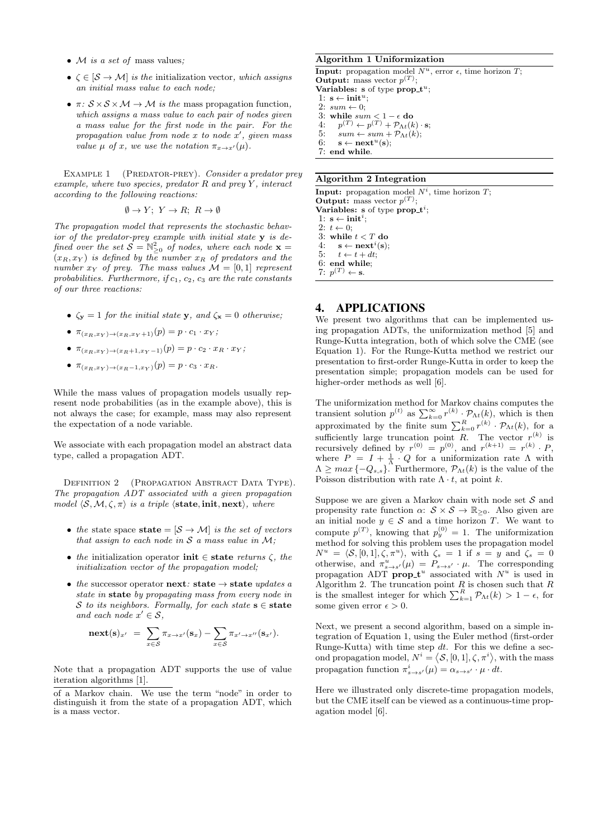- M is a set of mass values;
- $\zeta \in [\mathcal{S} \to \mathcal{M}]$  is the initialization vector, which assigns an initial mass value to each node;
- $\pi: \mathcal{S} \times \mathcal{S} \times \mathcal{M} \rightarrow \mathcal{M}$  is the mass propagation function, which assigns a mass value to each pair of nodes given a mass value for the first node in the pair. For the propagation value from node  $x$  to node  $x'$ , given mass value  $\mu$  of x, we use the notation  $\pi_{x\to x'}(\mu)$ .

EXAMPLE 1 (PREDATOR-PREY). Consider a predator prey example, where two species, predator  $R$  and prey  $Y$ , interact according to the following reactions:

$$
\emptyset \to Y; \ Y \to R; \ R \to \emptyset
$$

The propagation model that represents the stochastic behavior of the predator-prey example with initial state y is defined over the set  $S = \mathbb{N}_{\geq 0}^2$  of nodes, where each node  $\mathbf{x} =$  $(x_R, x_Y)$  is defined by the number  $x_R$  of predators and the number  $x<sub>Y</sub>$  of prey. The mass values  $\mathcal{M} = [0, 1]$  represent probabilities. Furthermore, if  $c_1$ ,  $c_2$ ,  $c_3$  are the rate constants of our three reactions:

- $\zeta_{\mathbf{v}} = 1$  for the initial state y, and  $\zeta_{\mathbf{x}} = 0$  otherwise;
- $\pi_{(x_R,x_Y) \to (x_R,x_Y + 1)}(p) = p \cdot c_1 \cdot x_Y;$
- $\pi_{(x_R,x_Y) \to (x_R+1,x_Y-1)}(p) = p \cdot c_2 \cdot x_R \cdot x_Y;$
- $\pi_{(x_R,x_Y) \to (x_R-1,x_Y)}(p) = p \cdot c_3 \cdot x_R$ .

While the mass values of propagation models usually represent node probabilities (as in the example above), this is not always the case; for example, mass may also represent the expectation of a node variable.

We associate with each propagation model an abstract data type, called a propagation ADT.

DEFINITION 2 (PROPAGATION ABSTRACT DATA TYPE). The propagation ADT associated with a given propagation model  $\langle \mathcal{S}, \mathcal{M}, \zeta, \pi \rangle$  is a triple  $\langle$ **state, init, next** $\rangle$ , where

- the state space state  $= [\mathcal{S} \to \mathcal{M}]$  is the set of vectors that assign to each node in  $S$  a mass value in  $M$ ;
- the initialization operator init  $\in$  state returns  $\zeta$ , the initialization vector of the propagation model;
- the successor operator next: state  $\rightarrow$  state updates a state in state by propagating mass from every node in S to its neighbors. Formally, for each state  $s \in state$ and each node  $x' \in \mathcal{S}$ ,

$$
\mathrm{next}(\mathbf{s})_{x'} = \sum_{x \in \mathcal{S}} \pi_{x \to x'}(\mathbf{s}_x) - \sum_{x \in \mathcal{S}} \pi_{x' \to x''}(\mathbf{s}_{x'}).
$$

Note that a propagation ADT supports the use of value iteration algorithms [1].

#### Algorithm 1 Uniformization

**Input:** propagation model  $N^u$ , error  $\epsilon$ , time horizon T; Output: mass vector  $p^{(T)}$ ; Variables: s of type  $\text{prop\_t}^u$ ; 1:  $s \leftarrow init^u$ ; 2:  $sum \leftarrow 0;$ <br>3: while sur 3: while  $sum < 1 - \epsilon$  do<br>4:  $p^{(T)} \leftarrow p^{(T)} + \mathcal{P}_{\Lambda t}(k)$ 4:  $p^{(T)} \leftarrow p^{(T)} + \mathcal{P}_{\Lambda t}(k) \cdot \mathbf{s}$ ; 5:  $sum \leftarrow sum + \mathcal{P}_{\Lambda t}(k);$ <br>6:  $\mathbf{s} \leftarrow \mathbf{next}^u(\mathbf{s});$  $\mathbf{s} \leftarrow \mathbf{next}^u(\mathbf{s});$ 7: end while.

#### Algorithm 2 Integration

**Input:** propagation model  $N^i$ , time horizon T; Output: mass vector  $p^{(T)}$ ; Variables: s of type  $\text{prop\_t}^i$ ; 1:  $\mathbf{s} \leftarrow \text{init}^i;$ 2:  $t \leftarrow 0$ ; 3: while  $t < T$  do<br>4:  $s \leftarrow \textbf{next}^i(s)$ : 4:  $\mathbf{s} \leftarrow \mathbf{next}^i(\mathbf{s});$ 5:  $t \leftarrow t + dt;$ 6: end while; 7:  $p^{(T)} \leftarrow$  s.

# 4. APPLICATIONS

We present two algorithms that can be implemented using propagation ADTs, the uniformization method [5] and Runge-Kutta integration, both of which solve the CME (see Equation 1). For the Runge-Kutta method we restrict our presentation to first-order Runge-Kutta in order to keep the presentation simple; propagation models can be used for higher-order methods as well [6].

The uniformization method for Markov chains computes the transient solution  $p^{(t)}$  as  $\sum_{k=0}^{\infty} r^{(k)} \cdot \mathcal{P}_{\Lambda t}(k)$ , which is then approximated by the finite sum  $\sum_{k=0}^{R} r^{(k)} \cdot \mathcal{P}_{\Lambda t}(k)$ , for a sufficiently large truncation point R. The vector  $r^{(k)}$  is recursively defined by  $r^{(0)} = p^{(0)}$ , and  $r^{(k+1)} = r^{(k)} \cdot P$ , where  $P = I + \frac{1}{\Lambda} \cdot Q$  for a uniformization rate  $\Lambda$  with  $\Lambda \geq max\{-Q_{s,s}\}.$  Furthermore,  $\mathcal{P}_{\Lambda t}(k)$  is the value of the Poisson distribution with rate  $\Lambda \cdot t$ , at point k.

Suppose we are given a Markov chain with node set  $S$  and propensity rate function  $\alpha: \mathcal{S} \times \mathcal{S} \to \mathbb{R}_{\geq 0}$ . Also given are an initial node  $y \in \mathcal{S}$  and a time horizon T. We want to compute  $p^{(T)}$ , knowing that  $p_y^{(0)} = 1$ . The uniformization method for solving this problem uses the propagation model  $N^u = \langle \mathcal{S}, [0,1], \zeta, \pi^u \rangle$ , with  $\zeta_s = 1$  if  $s = y$  and  $\zeta_s = 0$ otherwise, and  $\pi_{s \to s'}^u(\mu) = P_{s \to s'} \cdot \mu$ . The corresponding propagation ADT **prop**<sub>t</sub><sup>u</sup> associated with  $N^u$  is used in Algorithm 2. The truncation point  $R$  is chosen such that  $R$ is the smallest integer for which  $\sum_{k=1}^{R} \mathcal{P}_{\Lambda t}(k) > 1 - \epsilon$ , for some given error  $\epsilon > 0$ .

Next, we present a second algorithm, based on a simple integration of Equation 1, using the Euler method (first-order Runge-Kutta) with time step  $dt$ . For this we define a second propagation model,  $N^i = \langle S, [0,1], \zeta, \pi^i \rangle$ , with the mass propagation function  $\pi_{s \to s'}^i(\mu) = \alpha_{s \to s'} \cdot \mu \cdot dt$ .

Here we illustrated only discrete-time propagation models, but the CME itself can be viewed as a continuous-time propagation model [6].

of a Markov chain. We use the term "node" in order to distinguish it from the state of a propagation ADT, which is a mass vector.